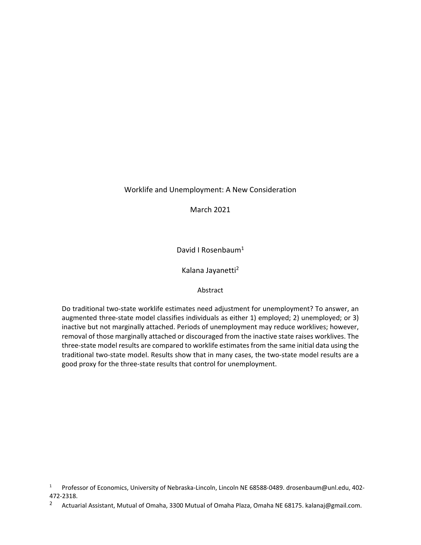# Worklife and Unemployment: A New Consideration

March 2021

David I Rosenbaum<sup>1</sup>

Kalana Jayanetti2

### Abstract

Do traditional two-state worklife estimates need adjustment for unemployment? To answer, an augmented three-state model classifies individuals as either 1) employed; 2) unemployed; or 3) inactive but not marginally attached. Periods of unemployment may reduce worklives; however, removal of those marginally attached or discouraged from the inactive state raises worklives. The three-state model results are compared to worklife estimates from the same initial data using the traditional two-state model. Results show that in many cases, the two-state model results are a good proxy for the three-state results that control for unemployment.

<sup>1</sup> Professor of Economics, University of Nebraska-Lincoln, Lincoln NE 68588-0489. drosenbaum@unl.edu, 402- 472-2318.

<sup>&</sup>lt;sup>2</sup> Actuarial Assistant, Mutual of Omaha, 3300 Mutual of Omaha Plaza, Omaha NE 68175. kalanaj@gmail.com.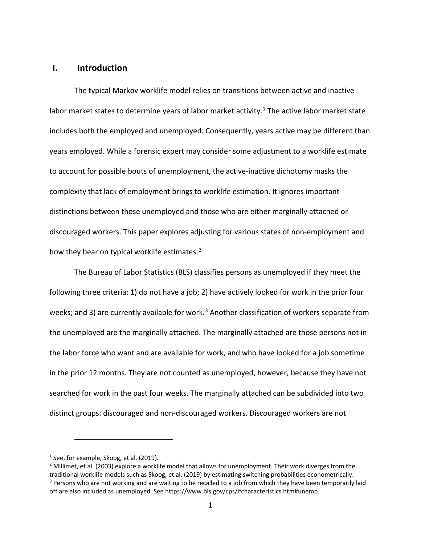# **I. Introduction**

The typical Markov worklife model relies on transitions between active and inactive labor market states to determine years of labor market activity.<sup>[1](#page-1-0)</sup> The active labor market state includes both the employed and unemployed. Consequently, years active may be different than years employed. While a forensic expert may consider some adjustment to a worklife estimate to account for possible bouts of unemployment, the active-inactive dichotomy masks the complexity that lack of employment brings to worklife estimation. It ignores important distinctions between those unemployed and those who are either marginally attached or discouraged workers. This paper explores adjusting for various states of non-employment and how they bear on typical worklife estimates.<sup>[2](#page-1-1)</sup>

The Bureau of Labor Statistics (BLS) classifies persons as unemployed if they meet the following three criteria: 1) do not have a job; 2) have actively looked for work in the prior four weeks; and [3](#page-1-2)) are currently available for work.<sup>3</sup> Another classification of workers separate from the unemployed are the marginally attached. The marginally attached are those persons not in the labor force who want and are available for work, and who have looked for a job sometime in the prior 12 months. They are not counted as unemployed, however, because they have not searched for work in the past four weeks. The marginally attached can be subdivided into two distinct groups: discouraged and non-discouraged workers. Discouraged workers are not

<span id="page-1-0"></span> $<sup>1</sup>$  See, for example, Skoog, et al. (2019).</sup>

<span id="page-1-2"></span><span id="page-1-1"></span><sup>&</sup>lt;sup>2</sup> Millimet, et al. (2003) explore a worklife model that allows for unemployment. Their work diverges from the traditional worklife models such as Skoog, et al. (2019) by estimating switching probabilities econometrically. <sup>3</sup> Persons who are not working and are waiting to be recalled to a job from which they have been temporarily laid off are also included as unemployed. See https://www.bls.gov/cps/lfcharacteristics.htm#unemp.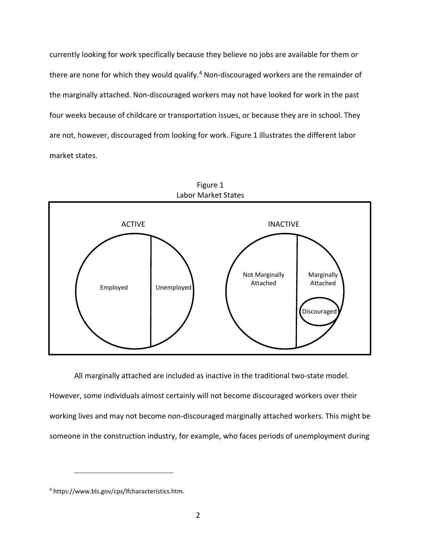currently looking for work specifically because they believe no jobs are available for them or there are none for which they would qualify.<sup>[4](#page-2-0)</sup> Non-discouraged workers are the remainder of the marginally attached. Non-discouraged workers may not have looked for work in the past four weeks because of childcare or transportation issues, or because they are in school. They are not, however, discouraged from looking for work. Figure 1 illustrates the different labor market states.



All marginally attached are included as inactive in the traditional two-state model. However, some individuals almost certainly will not become discouraged workers over their working lives and may not become non-discouraged marginally attached workers. This might be someone in the construction industry, for example, who faces periods of unemployment during

<span id="page-2-0"></span><sup>4</sup> https://www.bls.gov/cps/lfcharacteristics.htm.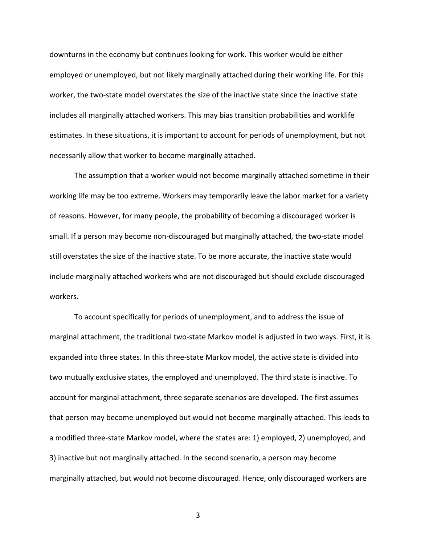downturns in the economy but continues looking for work. This worker would be either employed or unemployed, but not likely marginally attached during their working life. For this worker, the two-state model overstates the size of the inactive state since the inactive state includes all marginally attached workers. This may bias transition probabilities and worklife estimates. In these situations, it is important to account for periods of unemployment, but not necessarily allow that worker to become marginally attached.

The assumption that a worker would not become marginally attached sometime in their working life may be too extreme. Workers may temporarily leave the labor market for a variety of reasons. However, for many people, the probability of becoming a discouraged worker is small. If a person may become non-discouraged but marginally attached, the two-state model still overstates the size of the inactive state. To be more accurate, the inactive state would include marginally attached workers who are not discouraged but should exclude discouraged workers.

To account specifically for periods of unemployment, and to address the issue of marginal attachment, the traditional two-state Markov model is adjusted in two ways. First, it is expanded into three states. In this three-state Markov model, the active state is divided into two mutually exclusive states, the employed and unemployed. The third state is inactive. To account for marginal attachment, three separate scenarios are developed. The first assumes that person may become unemployed but would not become marginally attached. This leads to a modified three-state Markov model, where the states are: 1) employed, 2) unemployed, and 3) inactive but not marginally attached. In the second scenario, a person may become marginally attached, but would not become discouraged. Hence, only discouraged workers are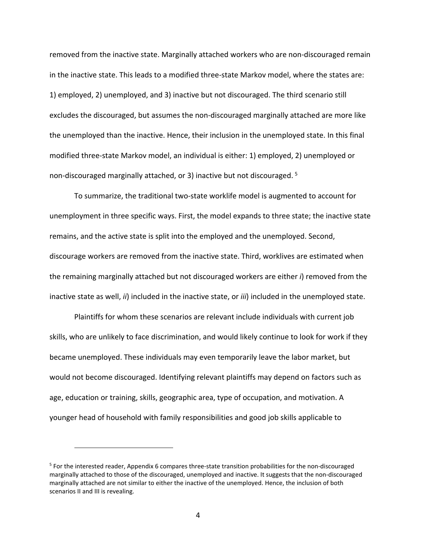removed from the inactive state. Marginally attached workers who are non-discouraged remain in the inactive state. This leads to a modified three-state Markov model, where the states are: 1) employed, 2) unemployed, and 3) inactive but not discouraged. The third scenario still excludes the discouraged, but assumes the non-discouraged marginally attached are more like the unemployed than the inactive. Hence, their inclusion in the unemployed state. In this final modified three-state Markov model, an individual is either: 1) employed, 2) unemployed or non-discouraged marginally attached, or 3) inactive but not discouraged. [5](#page-4-0)

To summarize, the traditional two-state worklife model is augmented to account for unemployment in three specific ways. First, the model expands to three state; the inactive state remains, and the active state is split into the employed and the unemployed. Second, discourage workers are removed from the inactive state. Third, worklives are estimated when the remaining marginally attached but not discouraged workers are either *i*) removed from the inactive state as well, *ii*) included in the inactive state, or *iii*) included in the unemployed state.

Plaintiffs for whom these scenarios are relevant include individuals with current job skills, who are unlikely to face discrimination, and would likely continue to look for work if they became unemployed. These individuals may even temporarily leave the labor market, but would not become discouraged. Identifying relevant plaintiffs may depend on factors such as age, education or training, skills, geographic area, type of occupation, and motivation. A younger head of household with family responsibilities and good job skills applicable to

<span id="page-4-0"></span><sup>5</sup> For the interested reader, Appendix 6 compares three-state transition probabilities for the non-discouraged marginally attached to those of the discouraged, unemployed and inactive. It suggests that the non-discouraged marginally attached are not similar to either the inactive of the unemployed. Hence, the inclusion of both scenarios II and III is revealing.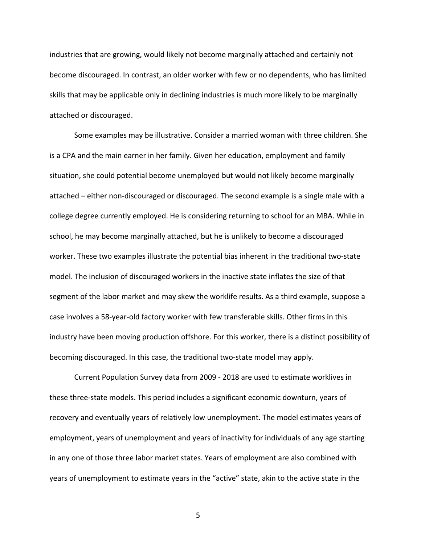industries that are growing, would likely not become marginally attached and certainly not become discouraged. In contrast, an older worker with few or no dependents, who has limited skills that may be applicable only in declining industries is much more likely to be marginally attached or discouraged.

Some examples may be illustrative. Consider a married woman with three children. She is a CPA and the main earner in her family. Given her education, employment and family situation, she could potential become unemployed but would not likely become marginally attached – either non-discouraged or discouraged. The second example is a single male with a college degree currently employed. He is considering returning to school for an MBA. While in school, he may become marginally attached, but he is unlikely to become a discouraged worker. These two examples illustrate the potential bias inherent in the traditional two-state model. The inclusion of discouraged workers in the inactive state inflates the size of that segment of the labor market and may skew the worklife results. As a third example, suppose a case involves a 58-year-old factory worker with few transferable skills. Other firms in this industry have been moving production offshore. For this worker, there is a distinct possibility of becoming discouraged. In this case, the traditional two-state model may apply.

Current Population Survey data from 2009 - 2018 are used to estimate worklives in these three-state models. This period includes a significant economic downturn, years of recovery and eventually years of relatively low unemployment. The model estimates years of employment, years of unemployment and years of inactivity for individuals of any age starting in any one of those three labor market states. Years of employment are also combined with years of unemployment to estimate years in the "active" state, akin to the active state in the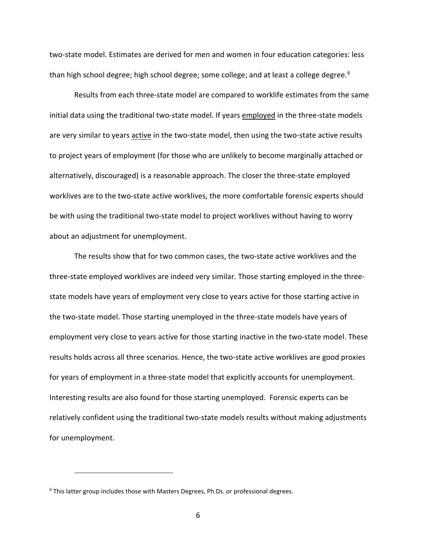two-state model. Estimates are derived for men and women in four education categories: less than high school degree; high school degree; some college; and at least a college degree.<sup>[6](#page-6-0)</sup>

Results from each three-state model are compared to worklife estimates from the same initial data using the traditional two-state model. If years employed in the three-state models are very similar to years active in the two-state model, then using the two-state active results to project years of employment (for those who are unlikely to become marginally attached or alternatively, discouraged) is a reasonable approach. The closer the three-state employed worklives are to the two-state active worklives, the more comfortable forensic experts should be with using the traditional two-state model to project worklives without having to worry about an adjustment for unemployment.

The results show that for two common cases, the two-state active worklives and the three-state employed worklives are indeed very similar. Those starting employed in the threestate models have years of employment very close to years active for those starting active in the two-state model. Those starting unemployed in the three-state models have years of employment very close to years active for those starting inactive in the two-state model. These results holds across all three scenarios. Hence, the two-state active worklives are good proxies for years of employment in a three-state model that explicitly accounts for unemployment. Interesting results are also found for those starting unemployed. Forensic experts can be relatively confident using the traditional two-state models results without making adjustments for unemployment.

<span id="page-6-0"></span><sup>&</sup>lt;sup>6</sup> This latter group includes those with Masters Degrees, Ph.Ds. or professional degrees.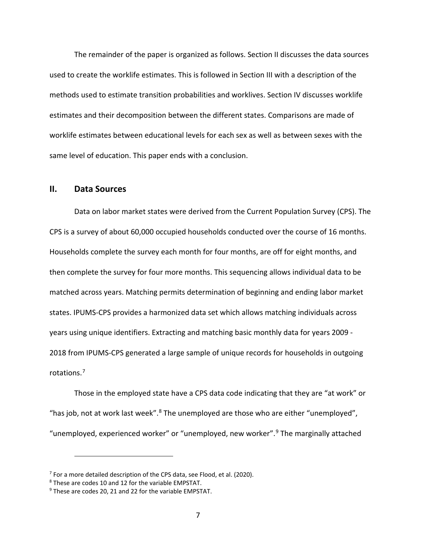The remainder of the paper is organized as follows. Section II discusses the data sources used to create the worklife estimates. This is followed in Section III with a description of the methods used to estimate transition probabilities and worklives. Section IV discusses worklife estimates and their decomposition between the different states. Comparisons are made of worklife estimates between educational levels for each sex as well as between sexes with the same level of education. This paper ends with a conclusion.

## **II. Data Sources**

Data on labor market states were derived from the Current Population Survey (CPS). The CPS is a survey of about 60,000 occupied households conducted over the course of 16 months. Households complete the survey each month for four months, are off for eight months, and then complete the survey for four more months. This sequencing allows individual data to be matched across years. Matching permits determination of beginning and ending labor market states. IPUMS-CPS provides a harmonized data set which allows matching individuals across years using unique identifiers. Extracting and matching basic monthly data for years 2009 - 2018 from IPUMS-CPS generated a large sample of unique records for households in outgoing rotations. [7](#page-7-0)

Those in the employed state have a CPS data code indicating that they are "at work" or "has job, not at work last week".<sup>[8](#page-7-1)</sup> The unemployed are those who are either "unemployed", "unemployed, experienced worker" or "unemployed, new worker".[9](#page-7-2) The marginally attached

<span id="page-7-0"></span> $7$  For a more detailed description of the CPS data, see Flood, et al. (2020).

<span id="page-7-1"></span><sup>8</sup> These are codes 10 and 12 for the variable EMPSTAT.

<span id="page-7-2"></span><sup>&</sup>lt;sup>9</sup> These are codes 20, 21 and 22 for the variable EMPSTAT.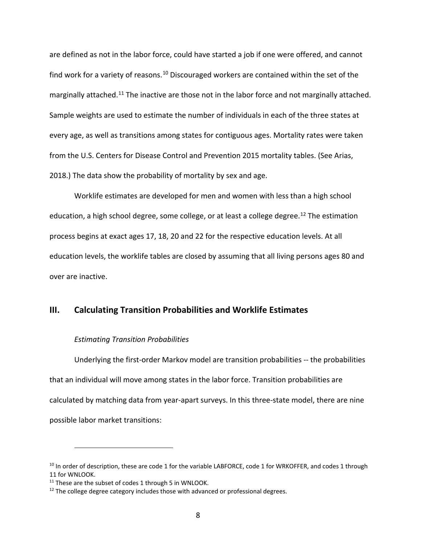are defined as not in the labor force, could have started a job if one were offered, and cannot find work for a variety of reasons.<sup>[10](#page-8-0)</sup> Discouraged workers are contained within the set of the marginally attached.<sup>[11](#page-8-1)</sup> The inactive are those not in the labor force and not marginally attached. Sample weights are used to estimate the number of individuals in each of the three states at every age, as well as transitions among states for contiguous ages. Mortality rates were taken from the U.S. Centers for Disease Control and Prevention 2015 mortality tables. (See Arias, 2018.) The data show the probability of mortality by sex and age.

Worklife estimates are developed for men and women with less than a high school education, a high school degree, some college, or at least a college degree.<sup>[12](#page-8-2)</sup> The estimation process begins at exact ages 17, 18, 20 and 22 for the respective education levels. At all education levels, the worklife tables are closed by assuming that all living persons ages 80 and over are inactive.

# **III. Calculating Transition Probabilities and Worklife Estimates**

#### *Estimating Transition Probabilities*

Underlying the first-order Markov model are transition probabilities -- the probabilities that an individual will move among states in the labor force. Transition probabilities are calculated by matching data from year-apart surveys. In this three-state model, there are nine possible labor market transitions:

<span id="page-8-0"></span><sup>&</sup>lt;sup>10</sup> In order of description, these are code 1 for the variable LABFORCE, code 1 for WRKOFFER, and codes 1 through 11 for WNLOOK.

<span id="page-8-1"></span><sup>&</sup>lt;sup>11</sup> These are the subset of codes 1 through 5 in WNLOOK.

<span id="page-8-2"></span> $12$  The college degree category includes those with advanced or professional degrees.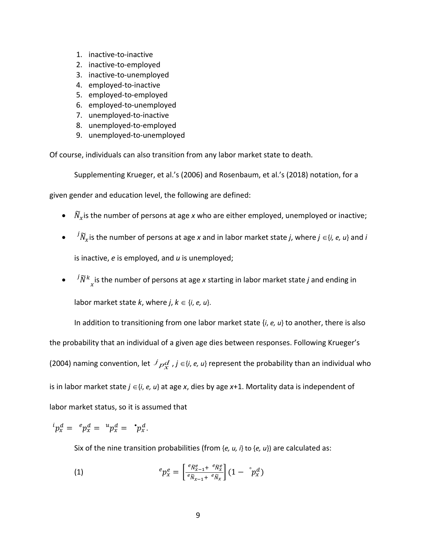- 1. inactive-to-inactive
- 2. inactive-to-employed
- 3. inactive-to-unemployed
- 4. employed-to-inactive
- 5. employed-to-employed
- 6. employed-to-unemployed
- 7. unemployed-to-inactive
- 8. unemployed-to-employed
- 9. unemployed-to-unemployed

Of course, individuals can also transition from any labor market state to death.

Supplementing Krueger, et al.'s (2006) and Rosenbaum, et al.'s (2018) notation, for a

given gender and education level, the following are defined:

- $\widetilde{N}_x$  is the number of persons at age *x* who are either employed, unemployed or inactive;
- � is the number of persons at age *x* and in labor market state *j*, where *j* ∈{*i, e, u*} and *i* is inactive, *e* is employed, and *u* is unemployed;
- $\bullet$   $\overline{\phantom{a}}^{j}\tilde{N}^{k}_{x}$  is the number of persons at age *x* starting in labor market state *j* and ending in

labor market state  $k$ , where  $j, k \in \{i, e, u\}$ .

In addition to transitioning from one labor market state {*i*, *e, u*} to another, there is also the probability that an individual of a given age dies between responses. Following Krueger's (2004) naming convention, let  $\overline{J}_{p}d$ ,  $j \in$ {*i*, *e*, *u*} represent the probability than an individual who is in labor market state *j* ∈{*i*, *e, u*} at age *x*, dies by age *x*+1. Mortality data is independent of labor market status, so it is assumed that

$$
{}^i p_x^d = {}^e p_x^d = {}^u p_x^d = {}^{\bullet} p_x^d.
$$

Six of the nine transition probabilities (from {*e, u, i*} to {*e, u*}) are calculated as:

(1) 
$$
{}^e p_x^e = \left[ \frac{{}^e \tilde{N}_{x-1}^e + {}^e \tilde{N}_x^e}{{}^e \tilde{N}_{x-1} + {}^e \tilde{N}_x} \right] (1 - {}^e p_x^d)
$$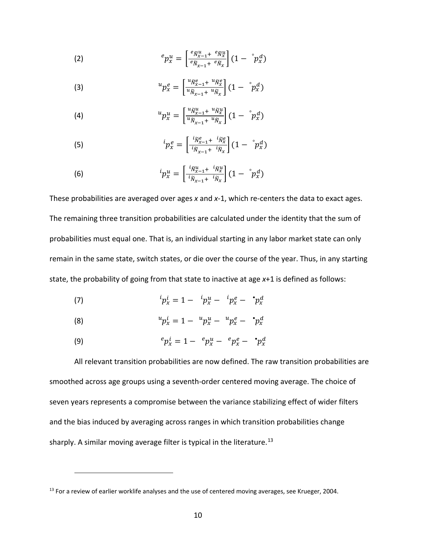(2) 
$$
{}^e p_x^u = \left[ \frac{{}^e \tilde{N}_{x-1}^u + {}^e \tilde{N}_{x}^u}{{}^e \tilde{N}_{x-1} + {}^e \tilde{N}_x} \right] (1 - {}^e p_x^d)
$$

(3) 
$$
{}^{u}p_{x}^{e} = \left[\frac{u_{\widetilde{N}_{x-1}^{e}} + u_{\widetilde{N}_{x}}}{u_{\widetilde{N}_{x-1}} + u_{\widetilde{N}_{x}}}\right](1 - {}^{c}p_{x}^{d})
$$

(4) 
$$
{}^{u}p_{x}^{u} = \left[\frac{{}^{u}\bar{N}_{x-1}^{u} + {}^{u}\bar{N}_{x}^{u}}{{}^{u}\bar{N}_{x-1} + {}^{u}\bar{N}_{x}}\right] (1 - {}^{v}p_{x}^{d})
$$

$$
\qquad \qquad (5) \qquad \qquad {}^{i}p_{x}^{e} = \left[ \frac{{}^{i}\tilde{N}_{x-1}^{e} + {}^{i}\tilde{N}_{x}^{e}}{}^{i}\right] (1 - {}^{o}p_{x}^{d})
$$

(6) 
$$
{}^{i}p_{x}^{u} = \left[\frac{{}^{i}\tilde{N}_{x-1}^{u}+{}^{i}\tilde{N}_{x}^{u}}{{}^{i}\tilde{N}_{x-1}+{}^{i}\tilde{N}_{x}}\right](1-\degree p_{x}^{d})
$$

These probabilities are averaged over ages *x* and *x*-1, which re-centers the data to exact ages. The remaining three transition probabilities are calculated under the identity that the sum of probabilities must equal one. That is, an individual starting in any labor market state can only remain in the same state, switch states, or die over the course of the year. Thus, in any starting state, the probability of going from that state to inactive at age *x*+1 is defined as follows:

(7) 
$$
{}^{i}p_{x}^{i} = 1 - {}^{i}p_{x}^{u} - {}^{i}p_{x}^{e} - {}^{*}p_{x}^{d}
$$

(8) 
$$
{}^{u}p_{x}^{i} = 1 - {}^{u}p_{x}^{u} - {}^{u}p_{x}^{e} - {}^{*}p_{x}^{d}
$$

(9) 
$$
{}^e p_x^i = 1 - {}^e p_x^u - {}^e p_x^e - {}^{\bullet} p_x^d
$$

 $\overline{a}$ 

All relevant transition probabilities are now defined. The raw transition probabilities are smoothed across age groups using a seventh-order centered moving average. The choice of seven years represents a compromise between the variance stabilizing effect of wider filters and the bias induced by averaging across ranges in which transition probabilities change sharply. A similar moving average filter is typical in the literature.<sup>[13](#page-10-0)</sup>

<span id="page-10-0"></span><sup>&</sup>lt;sup>13</sup> For a review of earlier worklife analyses and the use of centered moving averages, see Krueger, 2004.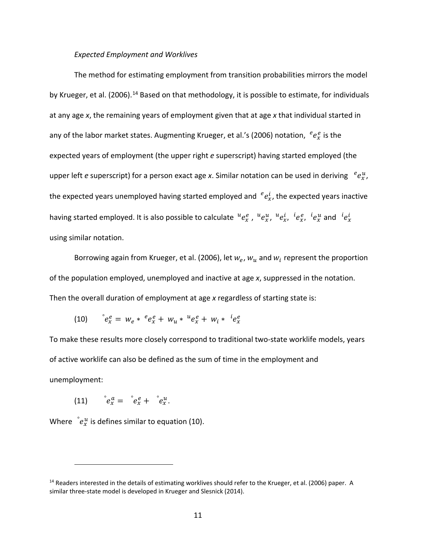### *Expected Employment and Worklives*

The method for estimating employment from transition probabilities mirrors the model by Krueger, et al. (2006).<sup>[14](#page-11-0)</sup> Based on that methodology, it is possible to estimate, for individuals at any age *x*, the remaining years of employment given that at age *x* that individual started in any of the labor market states. Augmenting Krueger, et al.'s (2006) notation,  $e^{e}_{x}$  is the expected years of employment (the upper right *e* superscript) having started employed (the upper left *e* superscript) for a person exact age *x*. Similar notation can be used in deriving  $e^{u}_{x}$ , the expected years unemployed having started employed and  $e^{i}_{x}$ , the expected years inactive having started employed. It is also possible to calculate  $^ue_x^e$ ,  $^ue_x^u$ ,  $^ue_x^i$ ,  $^te_x^e$ ,  $^te_x^u$  and  $^te_x^i$ using similar notation.

Borrowing again from Krueger, et al. (2006), let  $w_e$ ,  $w_u$  and  $w_i$  represent the proportion of the population employed, unemployed and inactive at age *x*, suppressed in the notation. Then the overall duration of employment at age *x* regardless of starting state is:

$$
(10) \qquad e_x^e = w_e * e_x^e + w_u * u_e^e + w_i * u_e^e
$$

To make these results more closely correspond to traditional two-state worklife models, years of active worklife can also be defined as the sum of time in the employment and unemployment:

(11)  $e_x^a = e_x^e + e_x^u$ .

 $\overline{a}$ 

Where  $\int e^u_x$  is defines similar to equation (10).

<span id="page-11-0"></span><sup>&</sup>lt;sup>14</sup> Readers interested in the details of estimating worklives should refer to the Krueger, et al. (2006) paper. A similar three-state model is developed in Krueger and Slesnick (2014).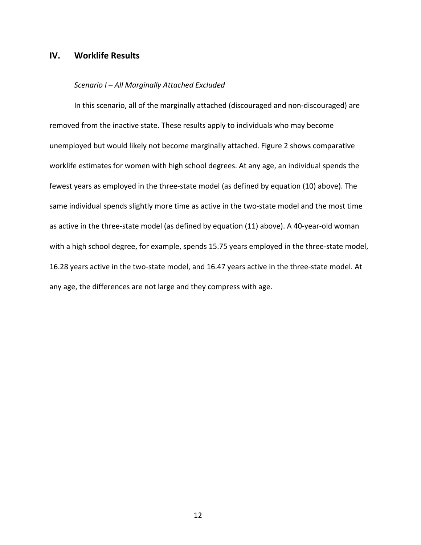# **IV. Worklife Results**

#### *Scenario I – All Marginally Attached Excluded*

In this scenario, all of the marginally attached (discouraged and non-discouraged) are removed from the inactive state. These results apply to individuals who may become unemployed but would likely not become marginally attached. Figure 2 shows comparative worklife estimates for women with high school degrees. At any age, an individual spends the fewest years as employed in the three-state model (as defined by equation (10) above). The same individual spends slightly more time as active in the two-state model and the most time as active in the three-state model (as defined by equation (11) above). A 40-year-old woman with a high school degree, for example, spends 15.75 years employed in the three-state model, 16.28 years active in the two-state model, and 16.47 years active in the three-state model. At any age, the differences are not large and they compress with age.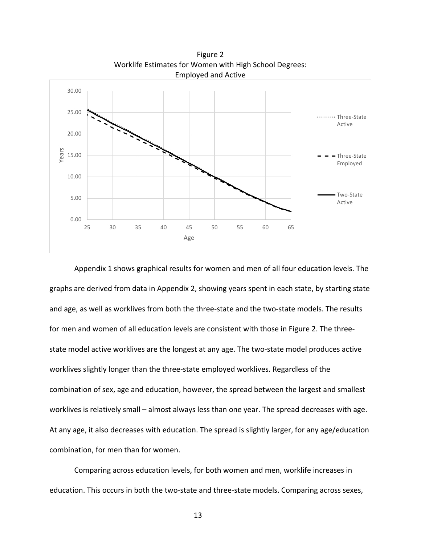

Figure 2 Worklife Estimates for Women with High School Degrees: Employed and Active

Appendix 1 shows graphical results for women and men of all four education levels. The graphs are derived from data in Appendix 2, showing years spent in each state, by starting state and age, as well as worklives from both the three-state and the two-state models. The results for men and women of all education levels are consistent with those in Figure 2. The threestate model active worklives are the longest at any age. The two-state model produces active worklives slightly longer than the three-state employed worklives. Regardless of the combination of sex, age and education, however, the spread between the largest and smallest worklives is relatively small – almost always less than one year. The spread decreases with age. At any age, it also decreases with education. The spread is slightly larger, for any age/education combination, for men than for women.

Comparing across education levels, for both women and men, worklife increases in education. This occurs in both the two-state and three-state models. Comparing across sexes,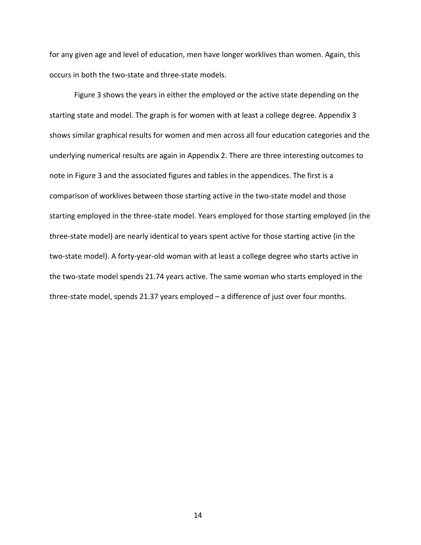for any given age and level of education, men have longer worklives than women. Again, this occurs in both the two-state and three-state models.

Figure 3 shows the years in either the employed or the active state depending on the starting state and model. The graph is for women with at least a college degree. Appendix 3 shows similar graphical results for women and men across all four education categories and the underlying numerical results are again in Appendix 2. There are three interesting outcomes to note in Figure 3 and the associated figures and tables in the appendices. The first is a comparison of worklives between those starting active in the two-state model and those starting employed in the three-state model. Years employed for those starting employed (in the three-state model) are nearly identical to years spent active for those starting active (in the two-state model). A forty-year-old woman with at least a college degree who starts active in the two-state model spends 21.74 years active. The same woman who starts employed in the three-state model, spends 21.37 years employed – a difference of just over four months.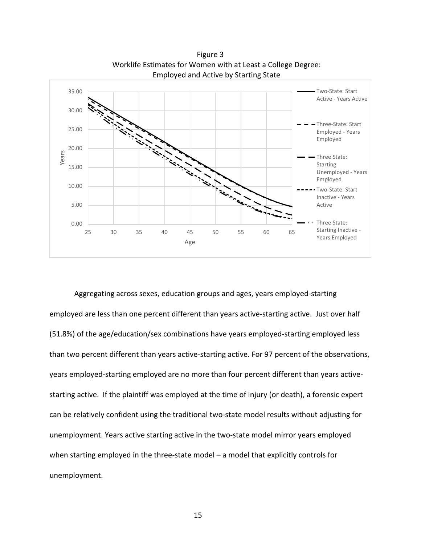

Figure 3 Worklife Estimates for Women with at Least a College Degree:

Aggregating across sexes, education groups and ages, years employed-starting employed are less than one percent different than years active-starting active. Just over half (51.8%) of the age/education/sex combinations have years employed-starting employed less than two percent different than years active-starting active. For 97 percent of the observations, years employed-starting employed are no more than four percent different than years activestarting active. If the plaintiff was employed at the time of injury (or death), a forensic expert can be relatively confident using the traditional two-state model results without adjusting for unemployment. Years active starting active in the two-state model mirror years employed when starting employed in the three-state model – a model that explicitly controls for unemployment.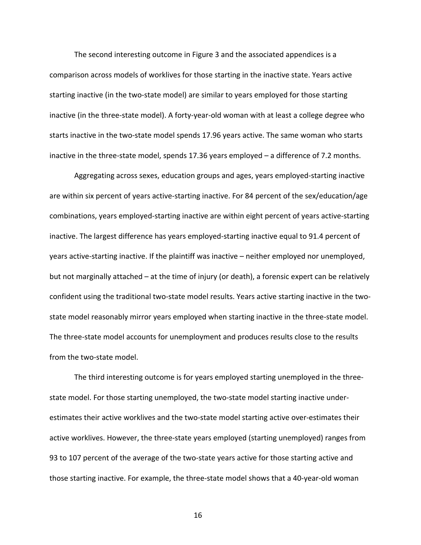The second interesting outcome in Figure 3 and the associated appendices is a comparison across models of worklives for those starting in the inactive state. Years active starting inactive (in the two-state model) are similar to years employed for those starting inactive (in the three-state model). A forty-year-old woman with at least a college degree who starts inactive in the two-state model spends 17.96 years active. The same woman who starts inactive in the three-state model, spends 17.36 years employed – a difference of 7.2 months.

Aggregating across sexes, education groups and ages, years employed-starting inactive are within six percent of years active-starting inactive. For 84 percent of the sex/education/age combinations, years employed-starting inactive are within eight percent of years active-starting inactive. The largest difference has years employed-starting inactive equal to 91.4 percent of years active-starting inactive. If the plaintiff was inactive – neither employed nor unemployed, but not marginally attached – at the time of injury (or death), a forensic expert can be relatively confident using the traditional two-state model results. Years active starting inactive in the twostate model reasonably mirror years employed when starting inactive in the three-state model. The three-state model accounts for unemployment and produces results close to the results from the two-state model.

The third interesting outcome is for years employed starting unemployed in the threestate model. For those starting unemployed, the two-state model starting inactive underestimates their active worklives and the two-state model starting active over-estimates their active worklives. However, the three-state years employed (starting unemployed) ranges from 93 to 107 percent of the average of the two-state years active for those starting active and those starting inactive. For example, the three-state model shows that a 40-year-old woman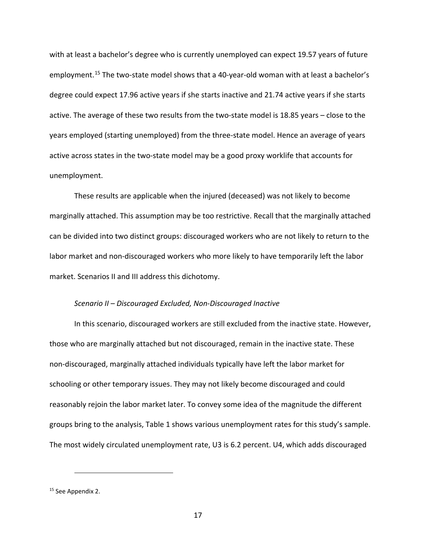with at least a bachelor's degree who is currently unemployed can expect 19.57 years of future employment.<sup>[15](#page-17-0)</sup> The two-state model shows that a 40-year-old woman with at least a bachelor's degree could expect 17.96 active years if she starts inactive and 21.74 active years if she starts active. The average of these two results from the two-state model is 18.85 years – close to the years employed (starting unemployed) from the three-state model. Hence an average of years active across states in the two-state model may be a good proxy worklife that accounts for unemployment.

These results are applicable when the injured (deceased) was not likely to become marginally attached. This assumption may be too restrictive. Recall that the marginally attached can be divided into two distinct groups: discouraged workers who are not likely to return to the labor market and non-discouraged workers who more likely to have temporarily left the labor market. Scenarios II and III address this dichotomy.

#### *Scenario II – Discouraged Excluded, Non-Discouraged Inactive*

In this scenario, discouraged workers are still excluded from the inactive state. However, those who are marginally attached but not discouraged, remain in the inactive state. These non-discouraged, marginally attached individuals typically have left the labor market for schooling or other temporary issues. They may not likely become discouraged and could reasonably rejoin the labor market later. To convey some idea of the magnitude the different groups bring to the analysis, Table 1 shows various unemployment rates for this study's sample. The most widely circulated unemployment rate, U3 is 6.2 percent. U4, which adds discouraged

<span id="page-17-0"></span><sup>&</sup>lt;sup>15</sup> See Appendix 2.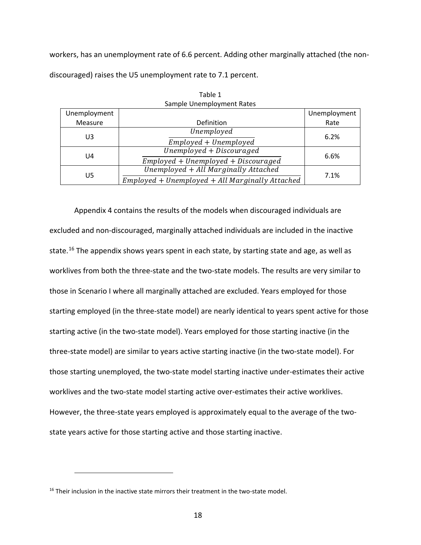workers, has an unemployment rate of 6.6 percent. Adding other marginally attached (the nondiscouraged) raises the U5 unemployment rate to 7.1 percent.

| Unemployment |                                                   | Unemployment |
|--------------|---------------------------------------------------|--------------|
| Measure      | Definition                                        | Rate         |
| U3           | Unemployed                                        | 6.2%         |
|              | Employed + Unemployed                             |              |
| U4           | Unemployed + Discouraged                          | 6.6%         |
|              | $Employd + Unemployed + Discouraged$              |              |
| U5           | Unemployed + All Marginally Attached              | 7.1%         |
|              | $Emploved + Unemploved + All Marginally Attached$ |              |

Table 1 Sample Unemployment Rates

Appendix 4 contains the results of the models when discouraged individuals are excluded and non-discouraged, marginally attached individuals are included in the inactive state.<sup>[16](#page-18-0)</sup> The appendix shows years spent in each state, by starting state and age, as well as worklives from both the three-state and the two-state models. The results are very similar to those in Scenario I where all marginally attached are excluded. Years employed for those starting employed (in the three-state model) are nearly identical to years spent active for those starting active (in the two-state model). Years employed for those starting inactive (in the three-state model) are similar to years active starting inactive (in the two-state model). For those starting unemployed, the two-state model starting inactive under-estimates their active worklives and the two-state model starting active over-estimates their active worklives. However, the three-state years employed is approximately equal to the average of the twostate years active for those starting active and those starting inactive.

<span id="page-18-0"></span><sup>&</sup>lt;sup>16</sup> Their inclusion in the inactive state mirrors their treatment in the two-state model.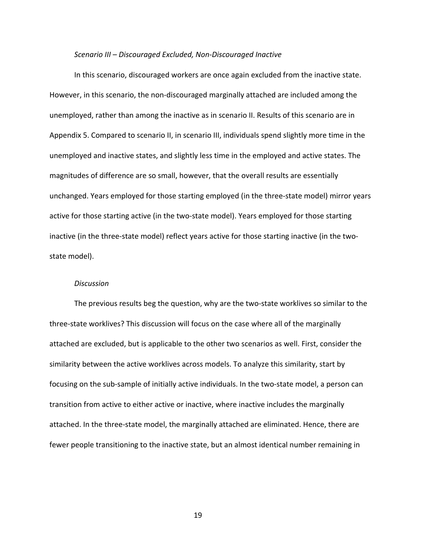#### *Scenario III – Discouraged Excluded, Non-Discouraged Inactive*

In this scenario, discouraged workers are once again excluded from the inactive state. However, in this scenario, the non-discouraged marginally attached are included among the unemployed, rather than among the inactive as in scenario II. Results of this scenario are in Appendix 5. Compared to scenario II, in scenario III, individuals spend slightly more time in the unemployed and inactive states, and slightly less time in the employed and active states. The magnitudes of difference are so small, however, that the overall results are essentially unchanged. Years employed for those starting employed (in the three-state model) mirror years active for those starting active (in the two-state model). Years employed for those starting inactive (in the three-state model) reflect years active for those starting inactive (in the twostate model).

#### *Discussion*

The previous results beg the question, why are the two-state worklives so similar to the three-state worklives? This discussion will focus on the case where all of the marginally attached are excluded, but is applicable to the other two scenarios as well. First, consider the similarity between the active worklives across models. To analyze this similarity, start by focusing on the sub-sample of initially active individuals. In the two-state model, a person can transition from active to either active or inactive, where inactive includes the marginally attached. In the three-state model, the marginally attached are eliminated. Hence, there are fewer people transitioning to the inactive state, but an almost identical number remaining in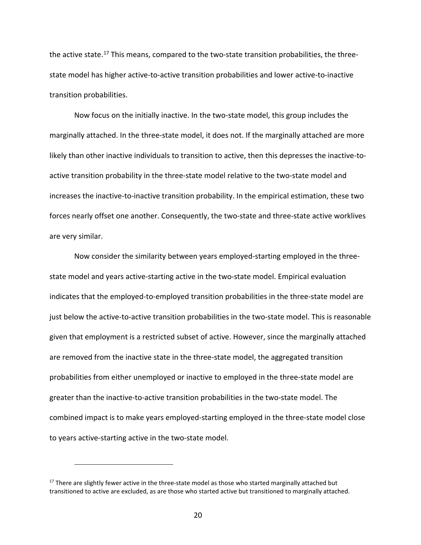the active state.<sup>[17](#page-20-0)</sup> This means, compared to the two-state transition probabilities, the threestate model has higher active-to-active transition probabilities and lower active-to-inactive transition probabilities.

Now focus on the initially inactive. In the two-state model, this group includes the marginally attached. In the three-state model, it does not. If the marginally attached are more likely than other inactive individuals to transition to active, then this depresses the inactive-toactive transition probability in the three-state model relative to the two-state model and increases the inactive-to-inactive transition probability. In the empirical estimation, these two forces nearly offset one another. Consequently, the two-state and three-state active worklives are very similar.

Now consider the similarity between years employed-starting employed in the threestate model and years active-starting active in the two-state model. Empirical evaluation indicates that the employed-to-employed transition probabilities in the three-state model are just below the active-to-active transition probabilities in the two-state model. This is reasonable given that employment is a restricted subset of active. However, since the marginally attached are removed from the inactive state in the three-state model, the aggregated transition probabilities from either unemployed or inactive to employed in the three-state model are greater than the inactive-to-active transition probabilities in the two-state model. The combined impact is to make years employed-starting employed in the three-state model close to years active-starting active in the two-state model.

<span id="page-20-0"></span><sup>&</sup>lt;sup>17</sup> There are slightly fewer active in the three-state model as those who started marginally attached but transitioned to active are excluded, as are those who started active but transitioned to marginally attached.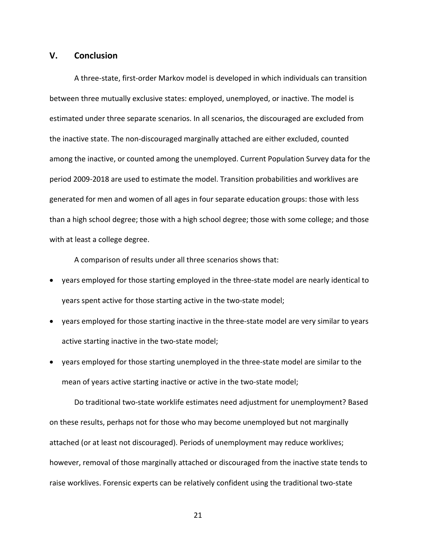### **V. Conclusion**

A three-state, first-order Markov model is developed in which individuals can transition between three mutually exclusive states: employed, unemployed, or inactive. The model is estimated under three separate scenarios. In all scenarios, the discouraged are excluded from the inactive state. The non-discouraged marginally attached are either excluded, counted among the inactive, or counted among the unemployed. Current Population Survey data for the period 2009-2018 are used to estimate the model. Transition probabilities and worklives are generated for men and women of all ages in four separate education groups: those with less than a high school degree; those with a high school degree; those with some college; and those with at least a college degree.

A comparison of results under all three scenarios shows that:

- years employed for those starting employed in the three-state model are nearly identical to years spent active for those starting active in the two-state model;
- years employed for those starting inactive in the three-state model are very similar to years active starting inactive in the two-state model;
- years employed for those starting unemployed in the three-state model are similar to the mean of years active starting inactive or active in the two-state model;

Do traditional two-state worklife estimates need adjustment for unemployment? Based on these results, perhaps not for those who may become unemployed but not marginally attached (or at least not discouraged). Periods of unemployment may reduce worklives; however, removal of those marginally attached or discouraged from the inactive state tends to raise worklives. Forensic experts can be relatively confident using the traditional two-state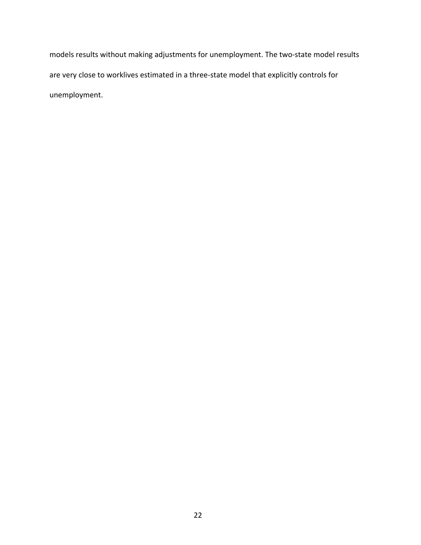models results without making adjustments for unemployment. The two-state model results are very close to worklives estimated in a three-state model that explicitly controls for unemployment.